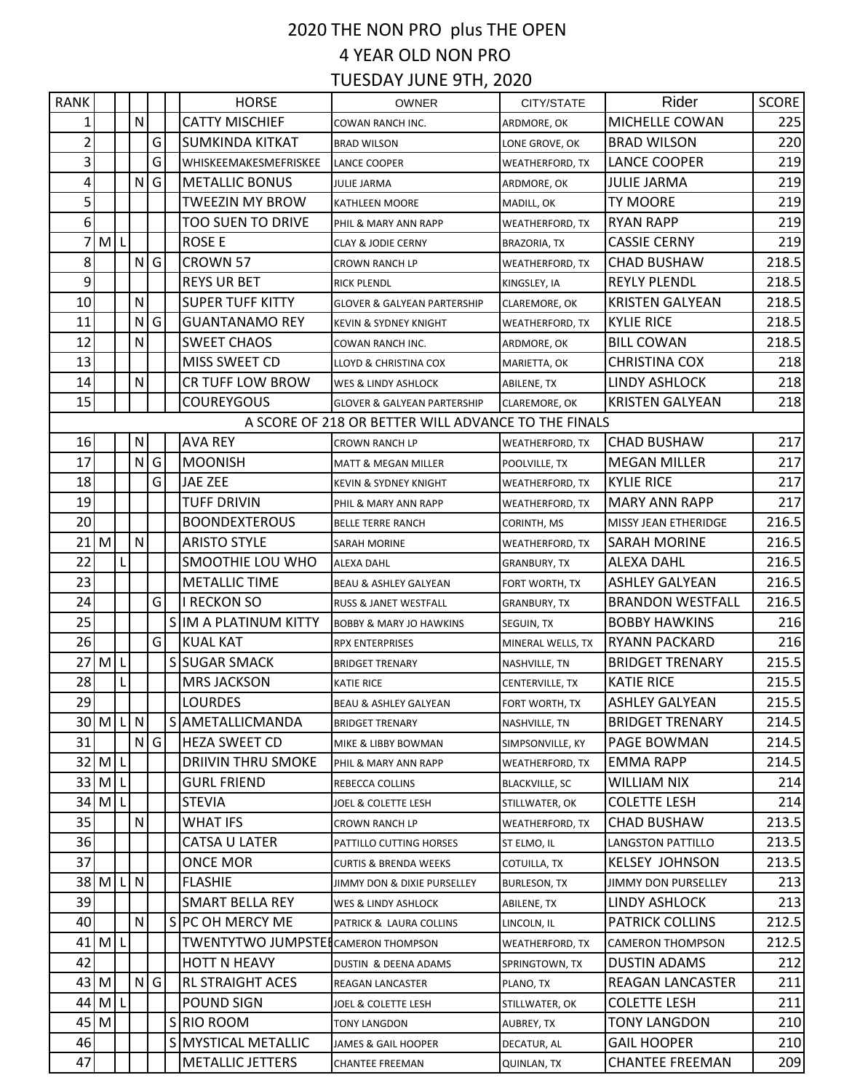## 2020 THE NON PRO plus THE OPEN 4 YEAR OLD NON PRO TUESDAY JUNE 9TH, 2020

| <b>RANK</b>                                         |                |   |              |   |  | <b>HORSE</b>                               | <b>OWNER</b>                           | CITY/STATE             | Rider                      | SCORE |
|-----------------------------------------------------|----------------|---|--------------|---|--|--------------------------------------------|----------------------------------------|------------------------|----------------------------|-------|
| 1                                                   |                |   | $\mathsf{N}$ |   |  | <b>CATTY MISCHIEF</b>                      | COWAN RANCH INC.                       | ARDMORE, OK            | MICHELLE COWAN             | 225   |
| $\overline{2}$                                      |                |   |              | G |  | <b>SUMKINDA KITKAT</b>                     | <b>BRAD WILSON</b>                     | LONE GROVE, OK         | <b>BRAD WILSON</b>         | 220   |
| $\overline{3}$                                      |                |   |              | G |  | WHISKEEMAKESMEFRISKEE                      | <b>LANCE COOPER</b>                    | WEATHERFORD, TX        | <b>LANCE COOPER</b>        | 219   |
| 4                                                   |                |   | N            | G |  | <b>METALLIC BONUS</b>                      | <b>JULIE JARMA</b>                     | ARDMORE, OK            | <b>JULIE JARMA</b>         | 219   |
| 5 <sup>1</sup>                                      |                |   |              |   |  | <b>TWEEZIN MY BROW</b>                     | <b>KATHLEEN MOORE</b>                  | MADILL, OK             | TY MOORE                   | 219   |
| $6 \overline{6}$                                    |                |   |              |   |  | <b>TOO SUEN TO DRIVE</b>                   | PHIL & MARY ANN RAPP                   | WEATHERFORD, TX        | <b>RYAN RAPP</b>           | 219   |
| 7                                                   | M L            |   |              |   |  | <b>ROSE E</b>                              | <b>CLAY &amp; JODIE CERNY</b>          | <b>BRAZORIA, TX</b>    | <b>CASSIE CERNY</b>        | 219   |
| 8                                                   |                |   | N G          |   |  | <b>CROWN 57</b>                            | <b>CROWN RANCH LP</b>                  | WEATHERFORD, TX        | <b>CHAD BUSHAW</b>         | 218.5 |
| 9                                                   |                |   |              |   |  | <b>REYS UR BET</b>                         | <b>RICK PLENDL</b>                     | KINGSLEY, IA           | <b>REYLY PLENDL</b>        | 218.5 |
| 10                                                  |                |   | ${\sf N}$    |   |  | <b>SUPER TUFF KITTY</b>                    | <b>GLOVER &amp; GALYEAN PARTERSHIP</b> | CLAREMORE, OK          | <b>KRISTEN GALYEAN</b>     | 218.5 |
| 11                                                  |                |   | ${\sf N}$    | G |  | <b>GUANTANAMO REY</b>                      | <b>KEVIN &amp; SYDNEY KNIGHT</b>       | <b>WEATHERFORD, TX</b> | <b>KYLIE RICE</b>          | 218.5 |
| 12                                                  |                |   | $\mathsf{N}$ |   |  | <b>SWEET CHAOS</b>                         | COWAN RANCH INC.                       | ARDMORE, OK            | <b>BILL COWAN</b>          | 218.5 |
| 13                                                  |                |   |              |   |  | MISS SWEET CD                              | <b>LLOYD &amp; CHRISTINA COX</b>       | MARIETTA, OK           | <b>CHRISTINA COX</b>       | 218   |
| 14                                                  |                |   | ${\sf N}$    |   |  | CR TUFF LOW BROW                           | <b>WES &amp; LINDY ASHLOCK</b>         | ABILENE, TX            | LINDY ASHLOCK              | 218   |
| 15                                                  |                |   |              |   |  | <b>COUREYGOUS</b>                          | <b>GLOVER &amp; GALYEAN PARTERSHIP</b> | CLAREMORE, OK          | <b>KRISTEN GALYEAN</b>     | 218   |
| A SCORE OF 218 OR BETTER WILL ADVANCE TO THE FINALS |                |   |              |   |  |                                            |                                        |                        |                            |       |
| 16                                                  |                |   | N            |   |  | <b>AVA REY</b>                             | <b>CROWN RANCH LP</b>                  | WEATHERFORD, TX        | <b>CHAD BUSHAW</b>         | 217   |
| 17                                                  |                |   | N            | G |  | <b>MOONISH</b>                             | <b>MATT &amp; MEGAN MILLER</b>         | POOLVILLE, TX          | <b>MEGAN MILLER</b>        | 217   |
| 18                                                  |                |   |              | G |  | JAE ZEE                                    | <b>KEVIN &amp; SYDNEY KNIGHT</b>       | <b>WEATHERFORD, TX</b> | <b>KYLIE RICE</b>          | 217   |
| 19                                                  |                |   |              |   |  | <b>TUFF DRIVIN</b>                         | PHIL & MARY ANN RAPP                   | WEATHERFORD, TX        | <b>MARY ANN RAPP</b>       | 217   |
| 20                                                  |                |   |              |   |  | <b>BOONDEXTEROUS</b>                       | <b>BELLE TERRE RANCH</b>               | CORINTH, MS            | MISSY JEAN ETHERIDGE       | 216.5 |
| 21                                                  | M              |   | ${\sf N}$    |   |  | <b>ARISTO STYLE</b>                        | SARAH MORINE                           | WEATHERFORD, TX        | <b>SARAH MORINE</b>        | 216.5 |
| 22                                                  |                | L |              |   |  | SMOOTHIE LOU WHO                           | ALEXA DAHL                             | <b>GRANBURY, TX</b>    | ALEXA DAHL                 | 216.5 |
| 23                                                  |                |   |              |   |  | <b>METALLIC TIME</b>                       | BEAU & ASHLEY GALYEAN                  | FORT WORTH, TX         | <b>ASHLEY GALYEAN</b>      | 216.5 |
| 24                                                  |                |   |              | G |  | <b>I RECKON SO</b>                         | RUSS & JANET WESTFALL                  | GRANBURY, TX           | <b>BRANDON WESTFALL</b>    | 216.5 |
| 25                                                  |                |   |              |   |  | S IM A PLATINUM KITTY                      | <b>BOBBY &amp; MARY JO HAWKINS</b>     | SEGUIN, TX             | <b>BOBBY HAWKINS</b>       | 216   |
| 26                                                  |                |   |              | G |  | <b>KUAL KAT</b>                            | <b>RPX ENTERPRISES</b>                 | MINERAL WELLS, TX      | <b>RYANN PACKARD</b>       | 216   |
| 27                                                  | M <sub>l</sub> |   |              |   |  | S SUGAR SMACK                              | <b>BRIDGET TRENARY</b>                 | NASHVILLE, TN          | <b>BRIDGET TRENARY</b>     | 215.5 |
| 28                                                  |                | L |              |   |  | <b>MRS JACKSON</b>                         | <b>KATIE RICE</b>                      | CENTERVILLE, TX        | <b>KATIE RICE</b>          | 215.5 |
| 29                                                  |                |   |              |   |  | <b>LOURDES</b>                             | BEAU & ASHLEY GALYEAN                  | FORT WORTH, TX         | <b>ASHLEY GALYEAN</b>      | 215.5 |
|                                                     | 30 M L N       |   |              |   |  | S AMETALLICMANDA                           | <b>BRIDGET TRENARY</b>                 | NASHVILLE, TN          | <b>BRIDGET TRENARY</b>     | 214.5 |
| 31                                                  |                |   | N G          |   |  | <b>HEZA SWEET CD</b>                       | MIKE & LIBBY BOWMAN                    | SIMPSONVILLE, KY       | PAGE BOWMAN                | 214.5 |
|                                                     | $32$ M L       |   |              |   |  | DRIIVIN THRU SMOKE                         | PHIL & MARY ANN RAPP                   | <b>WEATHERFORD, TX</b> | EMMA RAPP                  | 214.5 |
|                                                     | $33$ M L       |   |              |   |  | <b>GURL FRIEND</b>                         | REBECCA COLLINS                        | <b>BLACKVILLE, SC</b>  | WILLIAM NIX                | 214   |
|                                                     | 34 M L         |   |              |   |  | <b>STEVIA</b>                              | JOEL & COLETTE LESH                    | STILLWATER, OK         | <b>COLETTE LESH</b>        | 214   |
| 35                                                  |                |   | ${\sf N}$    |   |  | <b>WHAT IFS</b>                            | CROWN RANCH LP                         | <b>WEATHERFORD, TX</b> | <b>CHAD BUSHAW</b>         | 213.5 |
| 36                                                  |                |   |              |   |  | CATSA U LATER                              | PATTILLO CUTTING HORSES                | ST ELMO, IL            | <b>LANGSTON PATTILLO</b>   | 213.5 |
| 37                                                  |                |   |              |   |  | <b>ONCE MOR</b>                            | <b>CURTIS &amp; BRENDA WEEKS</b>       | COTUILLA, TX           | <b>KELSEY JOHNSON</b>      | 213.5 |
|                                                     | 38 M           |   | L N          |   |  | <b>FLASHIE</b>                             | JIMMY DON & DIXIE PURSELLEY            | <b>BURLESON, TX</b>    | <b>JIMMY DON PURSELLEY</b> | 213   |
| 39                                                  |                |   |              |   |  | SMART BELLA REY                            | WES & LINDY ASHLOCK                    | ABILENE, TX            | LINDY ASHLOCK              | 213   |
| 40                                                  |                |   | N            |   |  | S PC OH MERCY ME                           | PATRICK & LAURA COLLINS                | LINCOLN, IL            | PATRICK COLLINS            | 212.5 |
|                                                     | $41$ M L       |   |              |   |  | <b>TWENTYTWO JUMPSTEL</b> CAMERON THOMPSON |                                        | <b>WEATHERFORD, TX</b> | CAMERON THOMPSON           | 212.5 |
| 42                                                  |                |   |              |   |  | <b>HOTT N HEAVY</b>                        | DUSTIN & DEENA ADAMS                   | SPRINGTOWN, TX         | <b>DUSTIN ADAMS</b>        | 212   |
| $43$ M                                              |                |   | N G          |   |  | <b>RL STRAIGHT ACES</b>                    | REAGAN LANCASTER                       | PLANO, TX              | REAGAN LANCASTER           | 211   |
| 44                                                  | M <sub>L</sub> |   |              |   |  | POUND SIGN                                 | JOEL & COLETTE LESH                    | STILLWATER, OK         | <b>COLETTE LESH</b>        | 211   |
| 45 M                                                |                |   |              |   |  | SIRIO ROOM                                 | <b>TONY LANGDON</b>                    | AUBREY, TX             | <b>TONY LANGDON</b>        | 210   |
| 46                                                  |                |   |              |   |  | S MYSTICAL METALLIC                        | JAMES & GAIL HOOPER                    | DECATUR, AL            | <b>GAIL HOOPER</b>         | 210   |
| 47                                                  |                |   |              |   |  | <b>METALLIC JETTERS</b>                    | CHANTEE FREEMAN                        | QUINLAN, TX            | <b>CHANTEE FREEMAN</b>     | 209   |